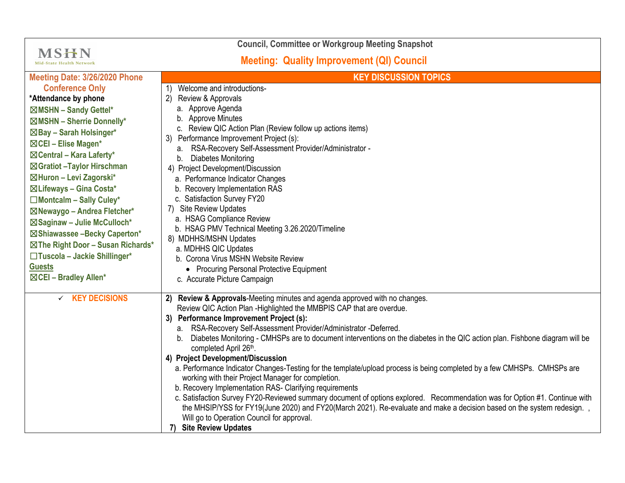| <b>Council, Committee or Workgroup Meeting Snapshot</b>                                                                                                                                                                                                                                                                                                                                                                                                                                                               |                                                                                                                                                                                                                                                                                                                                                                                                                                                                                                                                                                                                                                                                                                                                                                                                                                                                                                                                                                                                                                                         |
|-----------------------------------------------------------------------------------------------------------------------------------------------------------------------------------------------------------------------------------------------------------------------------------------------------------------------------------------------------------------------------------------------------------------------------------------------------------------------------------------------------------------------|---------------------------------------------------------------------------------------------------------------------------------------------------------------------------------------------------------------------------------------------------------------------------------------------------------------------------------------------------------------------------------------------------------------------------------------------------------------------------------------------------------------------------------------------------------------------------------------------------------------------------------------------------------------------------------------------------------------------------------------------------------------------------------------------------------------------------------------------------------------------------------------------------------------------------------------------------------------------------------------------------------------------------------------------------------|
| <b>MSHN</b><br><b>Mid-State Health Network</b>                                                                                                                                                                                                                                                                                                                                                                                                                                                                        | <b>Meeting: Quality Improvement (QI) Council</b>                                                                                                                                                                                                                                                                                                                                                                                                                                                                                                                                                                                                                                                                                                                                                                                                                                                                                                                                                                                                        |
| Meeting Date: 3/26/2020 Phone                                                                                                                                                                                                                                                                                                                                                                                                                                                                                         | <b>KEY DISCUSSION TOPICS</b>                                                                                                                                                                                                                                                                                                                                                                                                                                                                                                                                                                                                                                                                                                                                                                                                                                                                                                                                                                                                                            |
| <b>Conference Only</b><br>*Attendance by phone<br>⊠MSHN - Sandy Gettel*<br>$\boxtimes$ MSHN - Sherrie Donnelly*<br>⊠Bay - Sarah Holsinger*<br>⊠CEI - Elise Magen*<br>$\boxtimes$ Central – Kara Laferty*<br>⊠Gratiot - Taylor Hirschman<br>⊠Huron - Levi Zagorski*<br>⊠ Lifeways - Gina Costa*<br>$\Box$ Montcalm - Sally Culey*<br>⊠Newaygo - Andrea Fletcher*<br>⊠Saginaw - Julie McCulloch*<br>⊠Shiawassee -Becky Caperton*<br>⊠The Right Door - Susan Richards*<br>□Tuscola - Jackie Shillinger*<br><b>Guests</b> | Welcome and introductions-<br>Review & Approvals<br>(2)<br>a. Approve Agenda<br>b. Approve Minutes<br>c. Review QIC Action Plan (Review follow up actions items)<br>3) Performance Improvement Project (s):<br>a. RSA-Recovery Self-Assessment Provider/Administrator -<br>Diabetes Monitoring<br>b.<br>4) Project Development/Discussion<br>a. Performance Indicator Changes<br>b. Recovery Implementation RAS<br>c. Satisfaction Survey FY20<br>7) Site Review Updates<br>a. HSAG Compliance Review<br>b. HSAG PMV Technical Meeting 3.26.2020/Timeline<br>8) MDHHS/MSHN Updates<br>a. MDHHS QIC Updates<br>b. Corona Virus MSHN Website Review<br>• Procuring Personal Protective Equipment                                                                                                                                                                                                                                                                                                                                                          |
| ⊠CEI - Bradley Allen*                                                                                                                                                                                                                                                                                                                                                                                                                                                                                                 | c. Accurate Picture Campaign                                                                                                                                                                                                                                                                                                                                                                                                                                                                                                                                                                                                                                                                                                                                                                                                                                                                                                                                                                                                                            |
| $\times$ KEY DECISIONS                                                                                                                                                                                                                                                                                                                                                                                                                                                                                                | 2) Review & Approvals-Meeting minutes and agenda approved with no changes.<br>Review QIC Action Plan - Highlighted the MMBPIS CAP that are overdue.<br>3) Performance Improvement Project (s):<br>RSA-Recovery Self-Assessment Provider/Administrator -Deferred.<br>а. –<br>Diabetes Monitoring - CMHSPs are to document interventions on the diabetes in the QIC action plan. Fishbone diagram will be<br>b.<br>completed April 26th.<br>4) Project Development/Discussion<br>a. Performance Indicator Changes-Testing for the template/upload process is being completed by a few CMHSPs. CMHSPs are<br>working with their Project Manager for completion.<br>b. Recovery Implementation RAS- Clarifying requirements<br>c. Satisfaction Survey FY20-Reviewed summary document of options explored. Recommendation was for Option #1. Continue with<br>the MHSIP/YSS for FY19(June 2020) and FY20(March 2021). Re-evaluate and make a decision based on the system redesign.,<br>Will go to Operation Council for approval.<br>7) Site Review Updates |